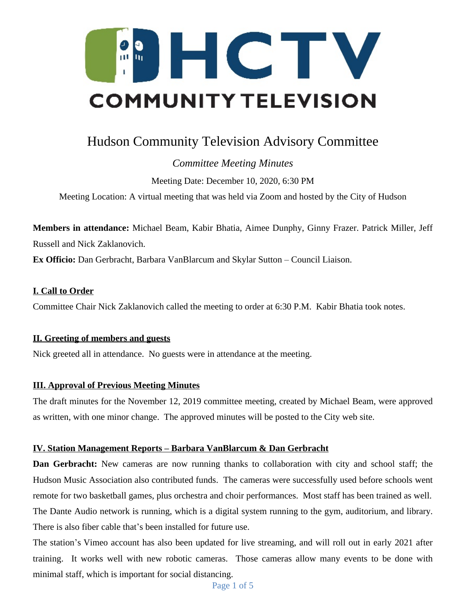

# Hudson Community Television Advisory Committee

## *Committee Meeting Minutes*

Meeting Date: December 10, 2020, 6:30 PM

Meeting Location: A virtual meeting that was held via Zoom and hosted by the City of Hudson

**Members in attendance:** Michael Beam, Kabir Bhatia, Aimee Dunphy, Ginny Frazer. Patrick Miller, Jeff Russell and Nick Zaklanovich.

**Ex Officio:** Dan Gerbracht, Barbara VanBlarcum and Skylar Sutton – Council Liaison.

## **I. Call to Order**

Committee Chair Nick Zaklanovich called the meeting to order at 6:30 P.M. Kabir Bhatia took notes.

## **II. Greeting of members and guests**

Nick greeted all in attendance. No guests were in attendance at the meeting.

## **III. Approval of Previous Meeting Minutes**

The draft minutes for the November 12, 2019 committee meeting, created by Michael Beam, were approved as written, with one minor change. The approved minutes will be posted to the City web site.

## **IV. Station Management Reports – Barbara VanBlarcum & Dan Gerbracht**

**Dan Gerbracht:** New cameras are now running thanks to collaboration with city and school staff; the Hudson Music Association also contributed funds. The cameras were successfully used before schools went remote for two basketball games, plus orchestra and choir performances. Most staff has been trained as well. The Dante Audio network is running, which is a digital system running to the gym, auditorium, and library. There is also fiber cable that's been installed for future use.

The station's Vimeo account has also been updated for live streaming, and will roll out in early 2021 after training. It works well with new robotic cameras. Those cameras allow many events to be done with minimal staff, which is important for social distancing.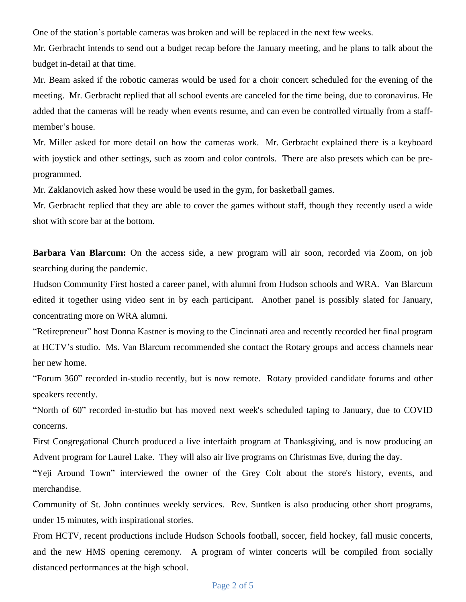One of the station's portable cameras was broken and will be replaced in the next few weeks.

Mr. Gerbracht intends to send out a budget recap before the January meeting, and he plans to talk about the budget in-detail at that time.

Mr. Beam asked if the robotic cameras would be used for a choir concert scheduled for the evening of the meeting. Mr. Gerbracht replied that all school events are canceled for the time being, due to coronavirus. He added that the cameras will be ready when events resume, and can even be controlled virtually from a staffmember's house.

Mr. Miller asked for more detail on how the cameras work. Mr. Gerbracht explained there is a keyboard with joystick and other settings, such as zoom and color controls. There are also presets which can be preprogrammed.

Mr. Zaklanovich asked how these would be used in the gym, for basketball games.

Mr. Gerbracht replied that they are able to cover the games without staff, though they recently used a wide shot with score bar at the bottom.

**Barbara Van Blarcum:** On the access side, a new program will air soon, recorded via Zoom, on job searching during the pandemic.

Hudson Community First hosted a career panel, with alumni from Hudson schools and WRA. Van Blarcum edited it together using video sent in by each participant. Another panel is possibly slated for January, concentrating more on WRA alumni.

"Retirepreneur" host Donna Kastner is moving to the Cincinnati area and recently recorded her final program at HCTV's studio. Ms. Van Blarcum recommended she contact the Rotary groups and access channels near her new home.

"Forum 360" recorded in-studio recently, but is now remote. Rotary provided candidate forums and other speakers recently.

"North of 60" recorded in-studio but has moved next week's scheduled taping to January, due to COVID concerns.

First Congregational Church produced a live interfaith program at Thanksgiving, and is now producing an Advent program for Laurel Lake. They will also air live programs on Christmas Eve, during the day.

"Yeji Around Town" interviewed the owner of the Grey Colt about the store's history, events, and merchandise.

Community of St. John continues weekly services. Rev. Suntken is also producing other short programs, under 15 minutes, with inspirational stories.

From HCTV, recent productions include Hudson Schools football, soccer, field hockey, fall music concerts, and the new HMS opening ceremony. A program of winter concerts will be compiled from socially distanced performances at the high school.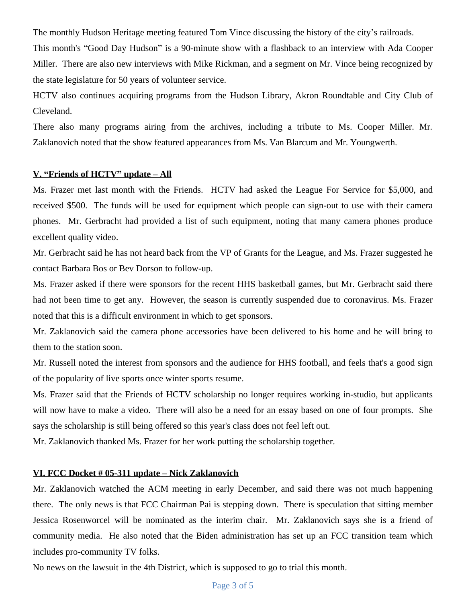The monthly Hudson Heritage meeting featured Tom Vince discussing the history of the city's railroads.

This month's "Good Day Hudson" is a 90-minute show with a flashback to an interview with Ada Cooper Miller. There are also new interviews with Mike Rickman, and a segment on Mr. Vince being recognized by the state legislature for 50 years of volunteer service.

HCTV also continues acquiring programs from the Hudson Library, Akron Roundtable and City Club of Cleveland.

There also many programs airing from the archives, including a tribute to Ms. Cooper Miller. Mr. Zaklanovich noted that the show featured appearances from Ms. Van Blarcum and Mr. Youngwerth.

#### **V. "Friends of HCTV" update – All**

Ms. Frazer met last month with the Friends. HCTV had asked the League For Service for \$5,000, and received \$500. The funds will be used for equipment which people can sign-out to use with their camera phones. Mr. Gerbracht had provided a list of such equipment, noting that many camera phones produce excellent quality video.

Mr. Gerbracht said he has not heard back from the VP of Grants for the League, and Ms. Frazer suggested he contact Barbara Bos or Bev Dorson to follow-up.

Ms. Frazer asked if there were sponsors for the recent HHS basketball games, but Mr. Gerbracht said there had not been time to get any. However, the season is currently suspended due to coronavirus. Ms. Frazer noted that this is a difficult environment in which to get sponsors.

Mr. Zaklanovich said the camera phone accessories have been delivered to his home and he will bring to them to the station soon.

Mr. Russell noted the interest from sponsors and the audience for HHS football, and feels that's a good sign of the popularity of live sports once winter sports resume.

Ms. Frazer said that the Friends of HCTV scholarship no longer requires working in-studio, but applicants will now have to make a video. There will also be a need for an essay based on one of four prompts. She says the scholarship is still being offered so this year's class does not feel left out.

Mr. Zaklanovich thanked Ms. Frazer for her work putting the scholarship together.

#### **VI. FCC Docket # 05-311 update – Nick Zaklanovich**

Mr. Zaklanovich watched the ACM meeting in early December, and said there was not much happening there. The only news is that FCC Chairman Pai is stepping down. There is speculation that sitting member Jessica Rosenworcel will be nominated as the interim chair. Mr. Zaklanovich says she is a friend of community media. He also noted that the Biden administration has set up an FCC transition team which includes pro-community TV folks.

No news on the lawsuit in the 4th District, which is supposed to go to trial this month.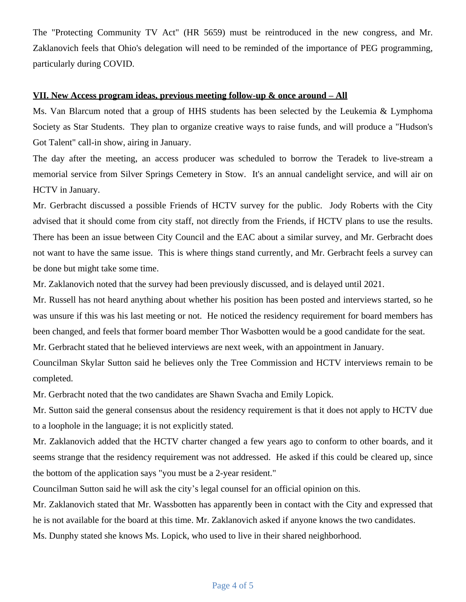The "Protecting Community TV Act" (HR 5659) must be reintroduced in the new congress, and Mr. Zaklanovich feels that Ohio's delegation will need to be reminded of the importance of PEG programming, particularly during COVID.

#### **VII. New Access program ideas, previous meeting follow-up & once around – All**

Ms. Van Blarcum noted that a group of HHS students has been selected by the Leukemia & Lymphoma Society as Star Students. They plan to organize creative ways to raise funds, and will produce a "Hudson's Got Talent" call-in show, airing in January.

The day after the meeting, an access producer was scheduled to borrow the Teradek to live-stream a memorial service from Silver Springs Cemetery in Stow. It's an annual candelight service, and will air on HCTV in January.

Mr. Gerbracht discussed a possible Friends of HCTV survey for the public. Jody Roberts with the City advised that it should come from city staff, not directly from the Friends, if HCTV plans to use the results. There has been an issue between City Council and the EAC about a similar survey, and Mr. Gerbracht does not want to have the same issue. This is where things stand currently, and Mr. Gerbracht feels a survey can be done but might take some time.

Mr. Zaklanovich noted that the survey had been previously discussed, and is delayed until 2021.

Mr. Russell has not heard anything about whether his position has been posted and interviews started, so he was unsure if this was his last meeting or not. He noticed the residency requirement for board members has been changed, and feels that former board member Thor Wasbotten would be a good candidate for the seat.

Mr. Gerbracht stated that he believed interviews are next week, with an appointment in January.

Councilman Skylar Sutton said he believes only the Tree Commission and HCTV interviews remain to be completed.

Mr. Gerbracht noted that the two candidates are Shawn Svacha and Emily Lopick.

Mr. Sutton said the general consensus about the residency requirement is that it does not apply to HCTV due to a loophole in the language; it is not explicitly stated.

Mr. Zaklanovich added that the HCTV charter changed a few years ago to conform to other boards, and it seems strange that the residency requirement was not addressed. He asked if this could be cleared up, since the bottom of the application says "you must be a 2-year resident."

Councilman Sutton said he will ask the city's legal counsel for an official opinion on this.

Mr. Zaklanovich stated that Mr. Wassbotten has apparently been in contact with the City and expressed that he is not available for the board at this time. Mr. Zaklanovich asked if anyone knows the two candidates.

Ms. Dunphy stated she knows Ms. Lopick, who used to live in their shared neighborhood.